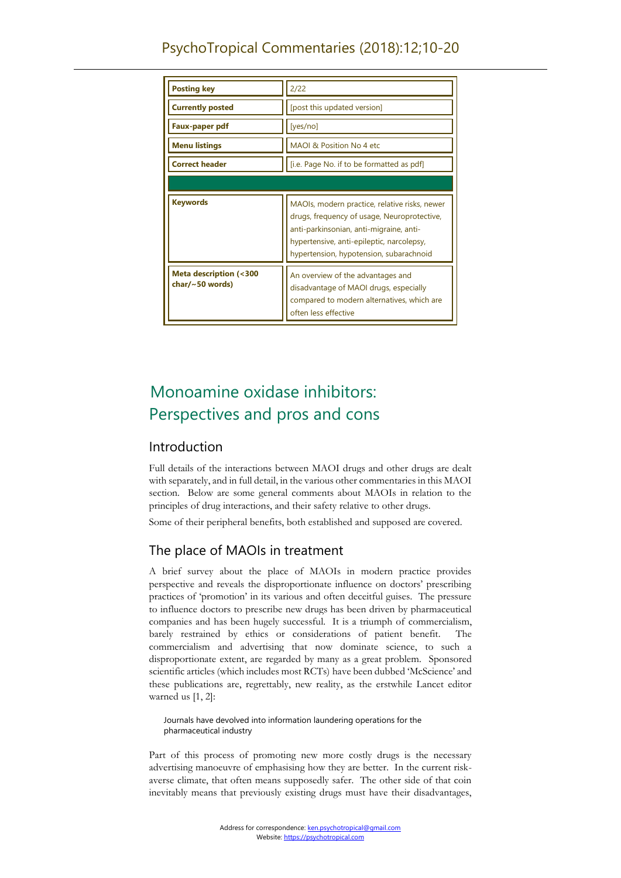| <b>Posting key</b>                                         | 2/22                                                                                                                                                                                                                            |
|------------------------------------------------------------|---------------------------------------------------------------------------------------------------------------------------------------------------------------------------------------------------------------------------------|
| <b>Currently posted</b>                                    | [post this updated version]                                                                                                                                                                                                     |
| Faux-paper pdf                                             | [yes/no]                                                                                                                                                                                                                        |
| <b>Menu listings</b>                                       | MAOI & Position No 4 etc                                                                                                                                                                                                        |
| <b>Correct header</b>                                      | [i.e. Page No. if to be formatted as pdf]                                                                                                                                                                                       |
|                                                            |                                                                                                                                                                                                                                 |
| <b>Keywords</b>                                            | MAOIs, modern practice, relative risks, newer<br>drugs, frequency of usage, Neuroprotective,<br>anti-parkinsonian, anti-migraine, anti-<br>hypertensive, anti-epileptic, narcolepsy,<br>hypertension, hypotension, subarachnoid |
| <b>Meta description (&lt;300</b><br>char/ $\sim$ 50 words) | An overview of the advantages and<br>disadvantage of MAOI drugs, especially<br>compared to modern alternatives, which are<br>often less effective                                                                               |

# Monoamine oxidase inhibitors: Perspectives and pros and cons

## Introduction

Full details of the interactions between MAOI drugs and other drugs are dealt with separately, and in full detail, in the various other commentaries in this MAOI section. Below are some general comments about MAOIs in relation to the principles of drug interactions, and their safety relative to other drugs.

Some of their peripheral benefits, both established and supposed are covered.

## The place of MAOIs in treatment

A brief survey about the place of MAOIs in modern practice provides perspective and reveals the disproportionate influence on doctors' prescribing practices of 'promotion' in its various and often deceitful guises. The pressure to influence doctors to prescribe new drugs has been driven by pharmaceutical companies and has been hugely successful. It is a triumph of commercialism, barely restrained by ethics or considerations of patient benefit. The commercialism and advertising that now dominate science, to such a disproportionate extent, are regarded by many as a great problem. Sponsored scientific articles (which includes most RCTs) have been dubbed 'McScience' and these publications are, regrettably, new reality, as the erstwhile Lancet editor warned us [1, 2]:

Journals have devolved into information laundering operations for the pharmaceutical industry

Part of this process of promoting new more costly drugs is the necessary advertising manoeuvre of emphasising how they are better. In the current riskaverse climate, that often means supposedly safer. The other side of that coin inevitably means that previously existing drugs must have their disadvantages,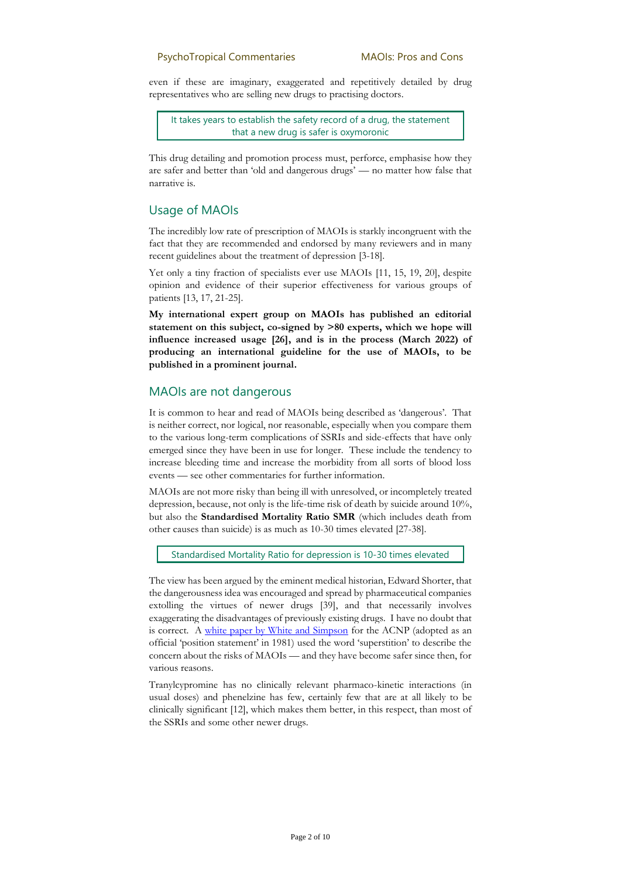even if these are imaginary, exaggerated and repetitively detailed by drug representatives who are selling new drugs to practising doctors.

It takes years to establish the safety record of a drug, the statement that a new drug is safer is oxymoronic

This drug detailing and promotion process must, perforce, emphasise how they are safer and better than 'old and dangerous drugs' — no matter how false that narrative is.

## Usage of MAOIs

The incredibly low rate of prescription of MAOIs is starkly incongruent with the fact that they are recommended and endorsed by many reviewers and in many recent guidelines about the treatment of depression [3-18].

Yet only a tiny fraction of specialists ever use MAOIs [11, 15, 19, 20], despite opinion and evidence of their superior effectiveness for various groups of patients [13, 17, 21-25].

**My international expert group on MAOIs has published an editorial statement on this subject, co-signed by >80 experts, which we hope will influence increased usage [26], and is in the process (March 2022) of producing an international guideline for the use of MAOIs, to be published in a prominent journal.**

## MAOIs are not dangerous

It is common to hear and read of MAOIs being described as 'dangerous'. That is neither correct, nor logical, nor reasonable, especially when you compare them to the various long-term complications of SSRIs and side-effects that have only emerged since they have been in use for longer. These include the tendency to increase bleeding time and increase the morbidity from all sorts of blood loss events — see other commentaries for further information.

MAOIs are not more risky than being ill with unresolved, or incompletely treated depression, because, not only is the life-time risk of death by suicide around 10%, but also the **Standardised Mortality Ratio SMR** (which includes death from other causes than suicide) is as much as 10-30 times elevated [27-38].

Standardised Mortality Ratio for depression is 10-30 times elevated

The view has been argued by the eminent medical historian, Edward Shorter, that the dangerousness idea was encouraged and spread by pharmaceutical companies extolling the virtues of newer drugs [39], and that necessarily involves exaggerating the disadvantages of previously existing drugs. I have no doubt that is correct. A [white paper by White and Simpson](https://psychotropical.com/overview_maoi_and_tca_interactions/) for the ACNP (adopted as an official 'position statement' in 1981) used the word 'superstition' to describe the concern about the risks of MAOIs — and they have become safer since then, for various reasons.

Tranylcypromine has no clinically relevant pharmaco-kinetic interactions (in usual doses) and phenelzine has few, certainly few that are at all likely to be clinically significant [12], which makes them better, in this respect, than most of the SSRIs and some other newer drugs.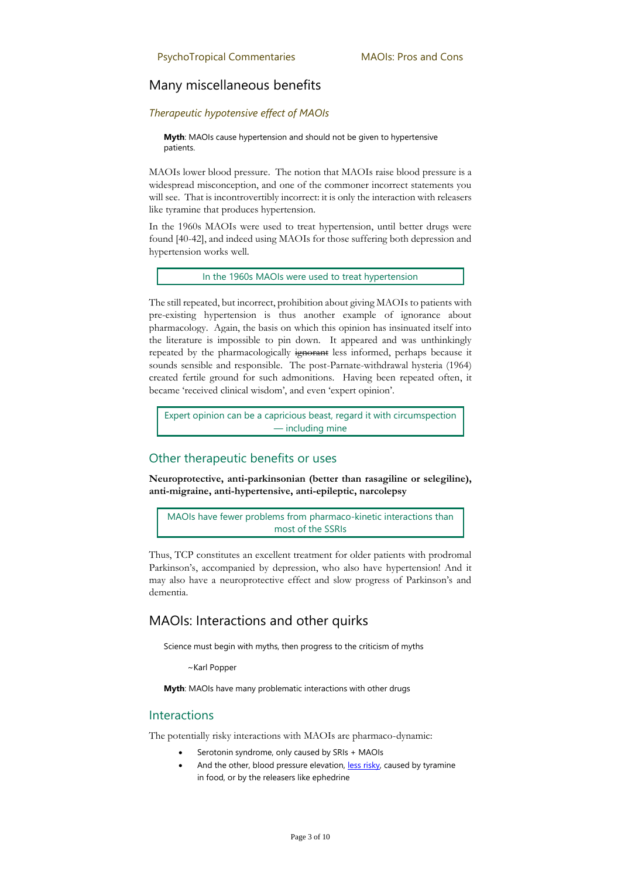## Many miscellaneous benefits

#### *Therapeutic hypotensive effect of MAOIs*

**Myth**: MAOIs cause hypertension and should not be given to hypertensive patients.

MAOIs lower blood pressure. The notion that MAOIs raise blood pressure is a widespread misconception, and one of the commoner incorrect statements you will see. That is incontrovertibly incorrect: it is only the interaction with releasers like tyramine that produces hypertension.

In the 1960s MAOIs were used to treat hypertension, until better drugs were found [40-42], and indeed using MAOIs for those suffering both depression and hypertension works well.

In the 1960s MAOIs were used to treat hypertension

The still repeated, but incorrect, prohibition about giving MAOIs to patients with pre-existing hypertension is thus another example of ignorance about pharmacology. Again, the basis on which this opinion has insinuated itself into the literature is impossible to pin down. It appeared and was unthinkingly repeated by the pharmacologically ignorant less informed, perhaps because it sounds sensible and responsible. The post-Parnate-withdrawal hysteria (1964) created fertile ground for such admonitions. Having been repeated often, it became 'received clinical wisdom', and even 'expert opinion'.

Expert opinion can be a capricious beast, regard it with circumspection — including mine

## Other therapeutic benefits or uses

**Neuroprotective, anti-parkinsonian (better than rasagiline or selegiline), anti-migraine, anti-hypertensive, anti-epileptic, narcolepsy**

MAOIs have fewer problems from pharmaco-kinetic interactions than most of the SSRIs

Thus, TCP constitutes an excellent treatment for older patients with prodromal Parkinson's, accompanied by depression, who also have hypertension! And it may also have a neuroprotective effect and slow progress of Parkinson's and dementia.

## MAOIs: Interactions and other quirks

Science must begin with myths, then progress to the criticism of myths

~Karl Popper

**Myth**: MAOIs have many problematic interactions with other drugs

## Interactions

The potentially risky interactions with MAOIs are pharmaco-dynamic:

- Serotonin syndrome, only caused by SRIs + MAOIs
- And the other, blood pressure elevation[, less risky,](https://psychotropical.com/risk_of_harm_from_acute_tyr_hypertension/) caused by tyramine in food, or by the releasers like ephedrine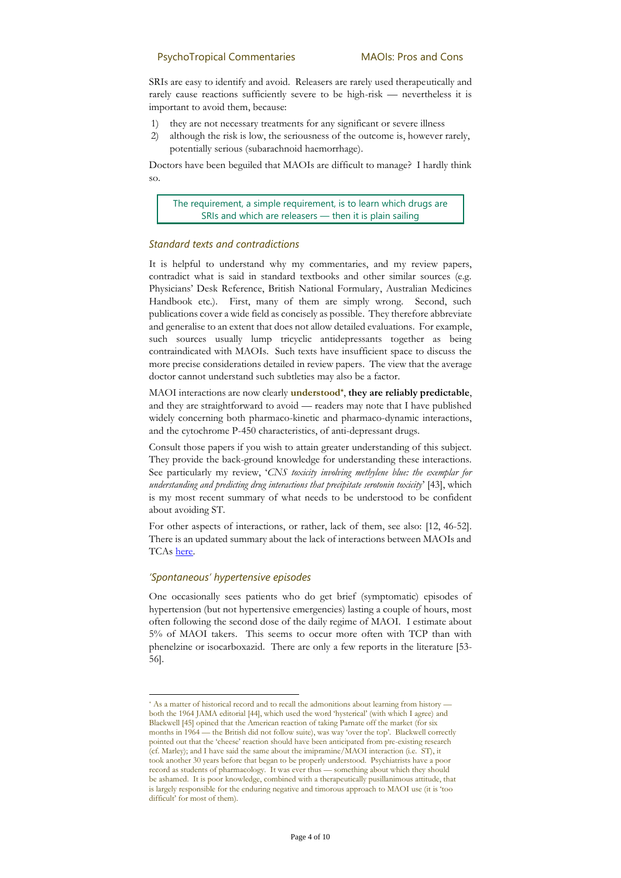SRIs are easy to identify and avoid. Releasers are rarely used therapeutically and rarely cause reactions sufficiently severe to be high-risk — nevertheless it is important to avoid them, because:

- 1) they are not necessary treatments for any significant or severe illness
- 2) although the risk is low, the seriousness of the outcome is, however rarely, potentially serious (subarachnoid haemorrhage).

Doctors have been beguiled that MAOIs are difficult to manage? I hardly think so.

The requirement, a simple requirement, is to learn which drugs are SRIs and which are releasers — then it is plain sailing

#### *Standard texts and contradictions*

It is helpful to understand why my commentaries, and my review papers, contradict what is said in standard textbooks and other similar sources (e.g. Physicians' Desk Reference, British National Formulary, Australian Medicines Handbook etc.). First, many of them are simply wrong. Second, such publications cover a wide field as concisely as possible. They therefore abbreviate and generalise to an extent that does not allow detailed evaluations. For example, such sources usually lump tricyclic antidepressants together as being contraindicated with MAOIs. Such texts have insufficient space to discuss the more precise considerations detailed in review papers. The view that the average doctor cannot understand such subtleties may also be a factor.

MAOI interactions are now clearly **understood\*** , **they are reliably predictable**, and they are straightforward to avoid — readers may note that I have published widely concerning both pharmaco-kinetic and pharmaco-dynamic interactions, and the cytochrome P-450 characteristics, of anti-depressant drugs.

Consult those papers if you wish to attain greater understanding of this subject. They provide the back-ground knowledge for understanding these interactions. See particularly my review, '*CNS toxicity involving methylene blue: the exemplar for understanding and predicting drug interactions that precipitate serotonin toxicity*' [43], which is my most recent summary of what needs to be understood to be confident about avoiding ST.

For other aspects of interactions, or rather, lack of them, see also: [12, 46-52]. There is an updated summary about the lack of interactions between MAOIs and TCAs [here.](https://psychotropical.com/overview_maoi_and_tca_interactions/)

#### *'Spontaneous' hypertensive episodes*

One occasionally sees patients who do get brief (symptomatic) episodes of hypertension (but not hypertensive emergencies) lasting a couple of hours, most often following the second dose of the daily regime of MAOI. I estimate about 5% of MAOI takers. This seems to occur more often with TCP than with phenelzine or isocarboxazid. There are only a few reports in the literature [53- 56].

<sup>\*</sup> As a matter of historical record and to recall the admonitions about learning from history both the 1964 JAMA editorial [44], which used the word 'hysterical' (with which I agree) and Blackwell [45] opined that the American reaction of taking Parnate off the market (for six months in 1964 — the British did not follow suite), was way 'over the top'. Blackwell correctly pointed out that the 'cheese' reaction should have been anticipated from pre-existing research (cf. Marley); and I have said the same about the imipramine/MAOI interaction (i.e. ST), it took another 30 years before that began to be properly understood. Psychiatrists have a poor record as students of pharmacology. It was ever thus — something about which they should be ashamed. It is poor knowledge, combined with a therapeutically pusillanimous attitude, that is largely responsible for the enduring negative and timorous approach to MAOI use (it is 'too difficult' for most of them).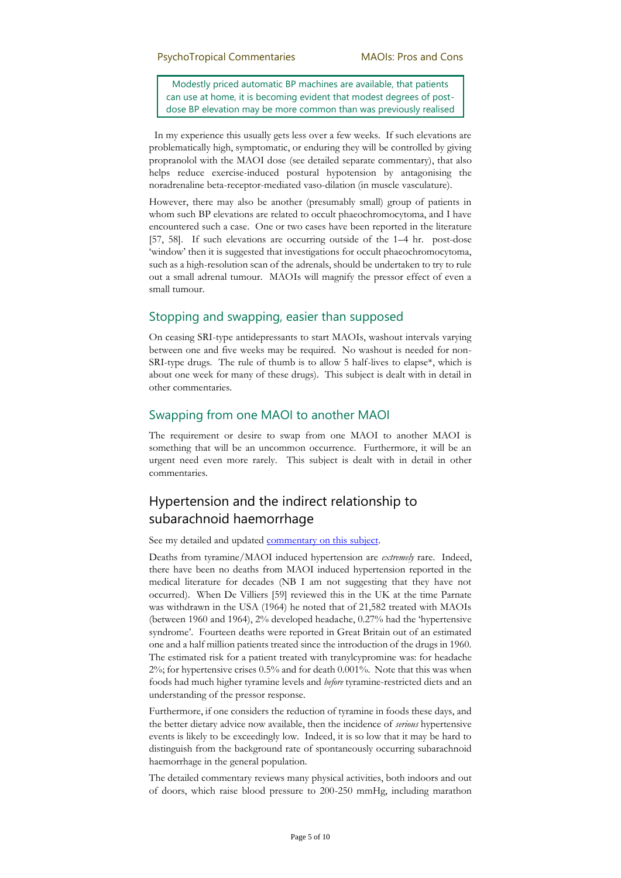Modestly priced automatic BP machines are available, that patients can use at home, it is becoming evident that modest degrees of postdose BP elevation may be more common than was previously realised

 In my experience this usually gets less over a few weeks. If such elevations are problematically high, symptomatic, or enduring they will be controlled by giving propranolol with the MAOI dose (see detailed separate commentary), that also helps reduce exercise-induced postural hypotension by antagonising the noradrenaline beta-receptor-mediated vaso-dilation (in muscle vasculature).

However, there may also be another (presumably small) group of patients in whom such BP elevations are related to occult phaeochromocytoma, and I have encountered such a case. One or two cases have been reported in the literature [57, 58]. If such elevations are occurring outside of the 1–4 hr. post-dose 'window' then it is suggested that investigations for occult phaeochromocytoma, such as a high-resolution scan of the adrenals, should be undertaken to try to rule out a small adrenal tumour. MAOIs will magnify the pressor effect of even a small tumour.

## Stopping and swapping, easier than supposed

On ceasing SRI-type antidepressants to start MAOIs, washout intervals varying between one and five weeks may be required. No washout is needed for non-SRI-type drugs. The rule of thumb is to allow 5 half-lives to elapse\*, which is about one week for many of these drugs). This subject is dealt with in detail in other commentaries.

## Swapping from one MAOI to another MAOI

The requirement or desire to swap from one MAOI to another MAOI is something that will be an uncommon occurrence. Furthermore, it will be an urgent need even more rarely. This subject is dealt with in detail in other commentaries.

## Hypertension and the indirect relationship to subarachnoid haemorrhage

See my detailed and update[d commentary on this subject.](https://psychotropical.com/risk_of_harm_from_acute_tyr_hypertension/)

Deaths from tyramine/MAOI induced hypertension are *extremely* rare. Indeed, there have been no deaths from MAOI induced hypertension reported in the medical literature for decades (NB I am not suggesting that they have not occurred). When De Villiers [59] reviewed this in the UK at the time Parnate was withdrawn in the USA (1964) he noted that of 21,582 treated with MAOIs (between 1960 and 1964), 2% developed headache, 0.27% had the 'hypertensive syndrome'. Fourteen deaths were reported in Great Britain out of an estimated one and a half million patients treated since the introduction of the drugs in 1960. The estimated risk for a patient treated with tranylcypromine was: for headache 2%; for hypertensive crises 0.5% and for death 0.001%. Note that this was when foods had much higher tyramine levels and *before* tyramine-restricted diets and an understanding of the pressor response.

Furthermore, if one considers the reduction of tyramine in foods these days, and the better dietary advice now available, then the incidence of *serious* hypertensive events is likely to be exceedingly low. Indeed, it is so low that it may be hard to distinguish from the background rate of spontaneously occurring subarachnoid haemorrhage in the general population.

The detailed commentary reviews many physical activities, both indoors and out of doors, which raise blood pressure to 200-250 mmHg, including marathon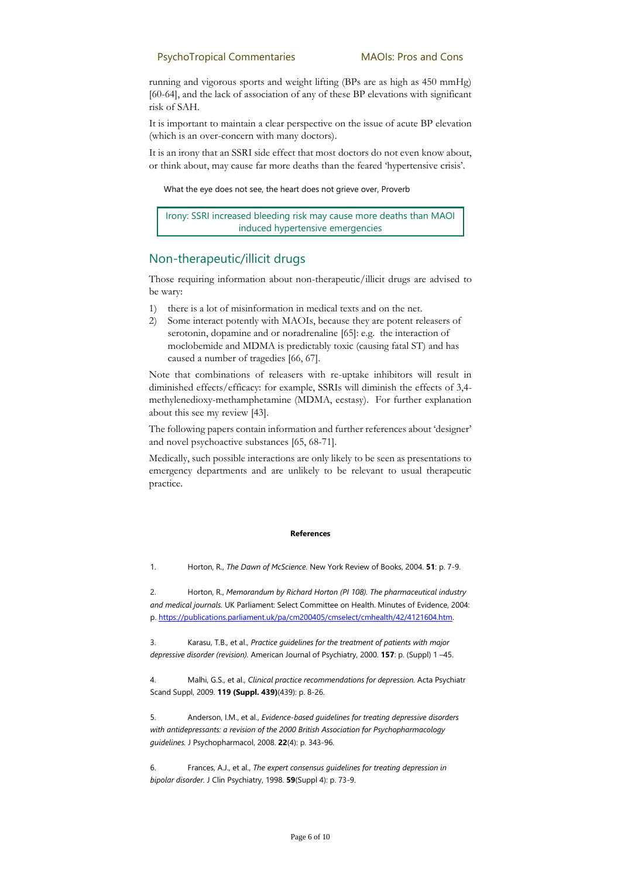running and vigorous sports and weight lifting (BPs are as high as 450 mmHg) [60-64], and the lack of association of any of these BP elevations with significant risk of SAH.

It is important to maintain a clear perspective on the issue of acute BP elevation (which is an over-concern with many doctors).

It is an irony that an SSRI side effect that most doctors do not even know about, or think about, may cause far more deaths than the feared 'hypertensive crisis'.

#### What the eye does not see, the heart does not grieve over, Proverb

Irony: SSRI increased bleeding risk may cause more deaths than MAOI induced hypertensive emergencies

## Non-therapeutic/illicit drugs

Those requiring information about non-therapeutic/illicit drugs are advised to be wary:

- 1) there is a lot of misinformation in medical texts and on the net.
- 2) Some interact potently with MAOIs, because they are potent releasers of serotonin, dopamine and or noradrenaline [65]: e.g. the interaction of moclobemide and MDMA is predictably toxic (causing fatal ST) and has caused a number of tragedies [66, 67].

Note that combinations of releasers with re-uptake inhibitors will result in diminished effects/efficacy: for example, SSRIs will diminish the effects of 3,4 methylenedioxy-methamphetamine (MDMA, ecstasy). For further explanation about this see my review [43].

The following papers contain information and further references about 'designer' and novel psychoactive substances [65, 68-71].

Medically, such possible interactions are only likely to be seen as presentations to emergency departments and are unlikely to be relevant to usual therapeutic practice.

#### **References**

1. Horton, R., *The Dawn of McScience.* New York Review of Books, 2004. **51**: p. 7-9.

2. Horton, R., *Memorandum by Richard Horton (PI 108). The pharmaceutical industry and medical journals.* UK Parliament: Select Committee on Health. Minutes of Evidence, 2004: p[. https://publications.parliament.uk/pa/cm200405/cmselect/cmhealth/42/4121604.htm.](https://publications.parliament.uk/pa/cm200405/cmselect/cmhealth/42/4121604.htm)

3. Karasu, T.B., et al., *Practice guidelines for the treatment of patients with major depressive disorder (revision).* American Journal of Psychiatry, 2000. **157**: p. (Suppl) 1 –45.

4. Malhi, G.S., et al., *Clinical practice recommendations for depression.* Acta Psychiatr Scand Suppl, 2009. **119 (Suppl. 439)**(439): p. 8-26.

5. Anderson, I.M., et al., *Evidence-based guidelines for treating depressive disorders with antidepressants: a revision of the 2000 British Association for Psychopharmacology guidelines.* J Psychopharmacol, 2008. **22**(4): p. 343-96.

6. Frances, A.J., et al., *The expert consensus guidelines for treating depression in bipolar disorder.* J Clin Psychiatry, 1998. **59**(Suppl 4): p. 73-9.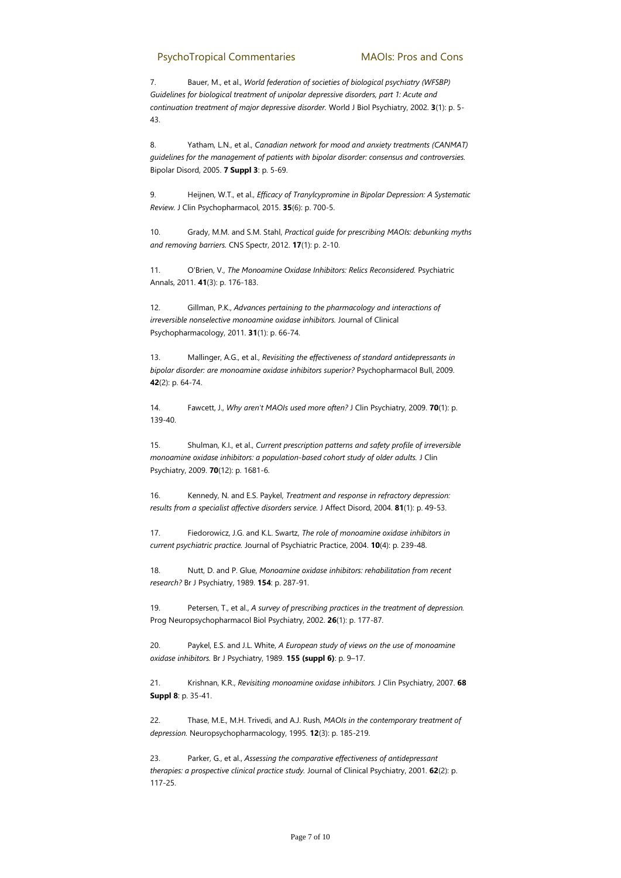7. Bauer, M., et al., *World federation of societies of biological psychiatry (WFSBP) Guidelines for biological treatment of unipolar depressive disorders, part 1: Acute and continuation treatment of major depressive disorder.* World J Biol Psychiatry, 2002. **3**(1): p. 5- 43.

8. Yatham, L.N., et al., *Canadian network for mood and anxiety treatments (CANMAT) guidelines for the management of patients with bipolar disorder: consensus and controversies.* Bipolar Disord, 2005. **7 Suppl 3**: p. 5-69.

9. Heijnen, W.T., et al., *Efficacy of Tranylcypromine in Bipolar Depression: A Systematic Review.* J Clin Psychopharmacol, 2015. **35**(6): p. 700-5.

10. Grady, M.M. and S.M. Stahl, *Practical guide for prescribing MAOIs: debunking myths and removing barriers.* CNS Spectr, 2012. **17**(1): p. 2-10.

11. O'Brien, V., *The Monoamine Oxidase Inhibitors: Relics Reconsidered.* Psychiatric Annals, 2011. **41**(3): p. 176-183.

12. Gillman, P.K., *Advances pertaining to the pharmacology and interactions of irreversible nonselective monoamine oxidase inhibitors.* Journal of Clinical Psychopharmacology, 2011. **31**(1): p. 66-74.

13. Mallinger, A.G., et al., *Revisiting the effectiveness of standard antidepressants in bipolar disorder: are monoamine oxidase inhibitors superior?* Psychopharmacol Bull, 2009. **42**(2): p. 64-74.

14. Fawcett, J., *Why aren't MAOIs used more often?* J Clin Psychiatry, 2009. **70**(1): p. 139-40.

15. Shulman, K.I., et al., *Current prescription patterns and safety profile of irreversible monoamine oxidase inhibitors: a population-based cohort study of older adults.* J Clin Psychiatry, 2009. **70**(12): p. 1681-6.

16. Kennedy, N. and E.S. Paykel, *Treatment and response in refractory depression: results from a specialist affective disorders service.* J Affect Disord, 2004. **81**(1): p. 49-53.

17. Fiedorowicz, J.G. and K.L. Swartz, *The role of monoamine oxidase inhibitors in current psychiatric practice.* Journal of Psychiatric Practice, 2004. **10**(4): p. 239-48.

18. Nutt, D. and P. Glue, *Monoamine oxidase inhibitors: rehabilitation from recent research?* Br J Psychiatry, 1989. **154**: p. 287-91.

19. Petersen, T., et al., *A survey of prescribing practices in the treatment of depression.* Prog Neuropsychopharmacol Biol Psychiatry, 2002. **26**(1): p. 177-87.

20. Paykel, E.S. and J.L. White, *A European study of views on the use of monoamine oxidase inhibitors.* Br J Psychiatry, 1989. **155 (suppl 6)**: p. 9–17.

21. Krishnan, K.R., *Revisiting monoamine oxidase inhibitors.* J Clin Psychiatry, 2007. **68 Suppl 8**: p. 35-41.

22. Thase, M.E., M.H. Trivedi, and A.J. Rush, *MAOIs in the contemporary treatment of depression.* Neuropsychopharmacology, 1995. **12**(3): p. 185-219.

23. Parker, G., et al., *Assessing the comparative effectiveness of antidepressant therapies: a prospective clinical practice study.* Journal of Clinical Psychiatry, 2001. **62**(2): p. 117-25.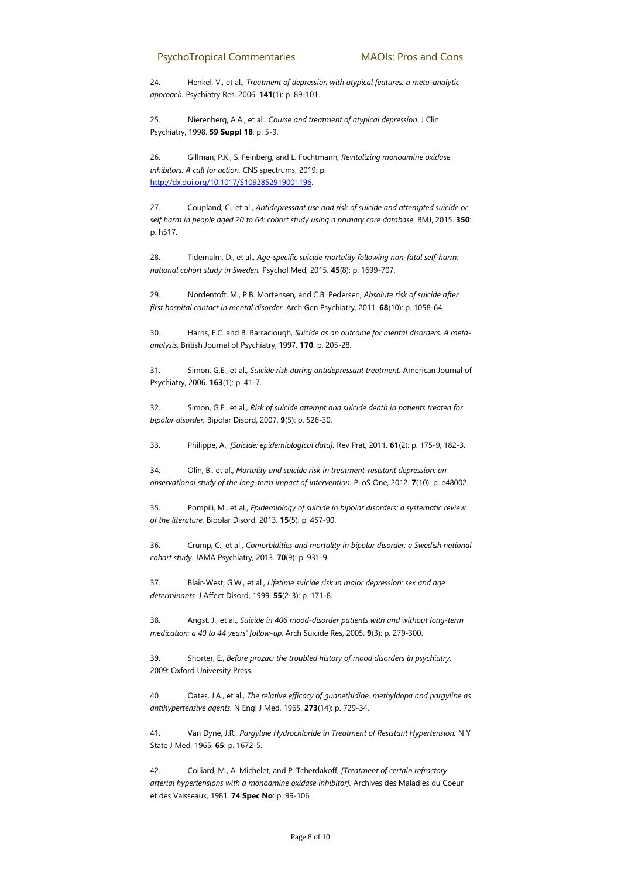24. Henkel, V., et al., *Treatment of depression with atypical features: a meta-analytic approach.* Psychiatry Res, 2006. **141**(1): p. 89-101.

25. Nierenberg, A.A., et al., *Course and treatment of atypical depression.* J Clin Psychiatry, 1998. **59 Suppl 18**: p. 5-9.

26. Gillman, P.K., S. Feinberg, and L. Fochtmann, *Revitalizing monoamine oxidase inhibitors: A call for action.* CNS spectrums, 2019: p. [http://dx.doi.org/10.1017/S1092852919001196.](http://dx.doi.org/10.1017/S1092852919001196)

27. Coupland, C., et al., *Antidepressant use and risk of suicide and attempted suicide or self harm in people aged 20 to 64: cohort study using a primary care database.* BMJ, 2015. **350**: p. h517.

28. Tidemalm, D., et al., *Age-specific suicide mortality following non-fatal self-harm: national cohort study in Sweden.* Psychol Med, 2015. **45**(8): p. 1699-707.

29. Nordentoft, M., P.B. Mortensen, and C.B. Pedersen, *Absolute risk of suicide after first hospital contact in mental disorder.* Arch Gen Psychiatry, 2011. **68**(10): p. 1058-64.

30. Harris, E.C. and B. Barraclough, *Suicide as an outcome for mental disorders. A metaanalysis.* British Journal of Psychiatry, 1997. **170**: p. 205-28.

31. Simon, G.E., et al., *Suicide risk during antidepressant treatment.* American Journal of Psychiatry, 2006. **163**(1): p. 41-7.

32. Simon, G.E., et al., *Risk of suicide attempt and suicide death in patients treated for bipolar disorder.* Bipolar Disord, 2007. **9**(5): p. 526-30.

33. Philippe, A., *[Suicide: epidemiological data].* Rev Prat, 2011. **61**(2): p. 175-9, 182-3.

34. Olin, B., et al., *Mortality and suicide risk in treatment-resistant depression: an observational study of the long-term impact of intervention.* PLoS One, 2012. **7**(10): p. e48002.

35. Pompili, M., et al., *Epidemiology of suicide in bipolar disorders: a systematic review of the literature.* Bipolar Disord, 2013. **15**(5): p. 457-90.

36. Crump, C., et al., *Comorbidities and mortality in bipolar disorder: a Swedish national cohort study.* JAMA Psychiatry, 2013. **70**(9): p. 931-9.

37. Blair-West, G.W., et al., *Lifetime suicide risk in major depression: sex and age determinants.* J Affect Disord, 1999. **55**(2-3): p. 171-8.

38. Angst, J., et al., *Suicide in 406 mood-disorder patients with and without long-term medication: a 40 to 44 years' follow-up.* Arch Suicide Res, 2005. **9**(3): p. 279-300.

39. Shorter, E., *Before prozac: the troubled history of mood disorders in psychiatry*. 2009: Oxford University Press.

40. Oates, J.A., et al., *The relative efficacy of guanethidine, methyldopa and pargyline as antihypertensive agents.* N Engl J Med, 1965. **273**(14): p. 729-34.

41. Van Dyne, J.R., *Pargyline Hydrochloride in Treatment of Resistant Hypertension.* N Y State J Med, 1965. **65**: p. 1672-5.

42. Colliard, M., A. Michelet, and P. Tcherdakoff, *[Treatment of certain refractory arterial hypertensions with a monoamine oxidase inhibitor].* Archives des Maladies du Coeur et des Vaisseaux, 1981. **74 Spec No**: p. 99-106.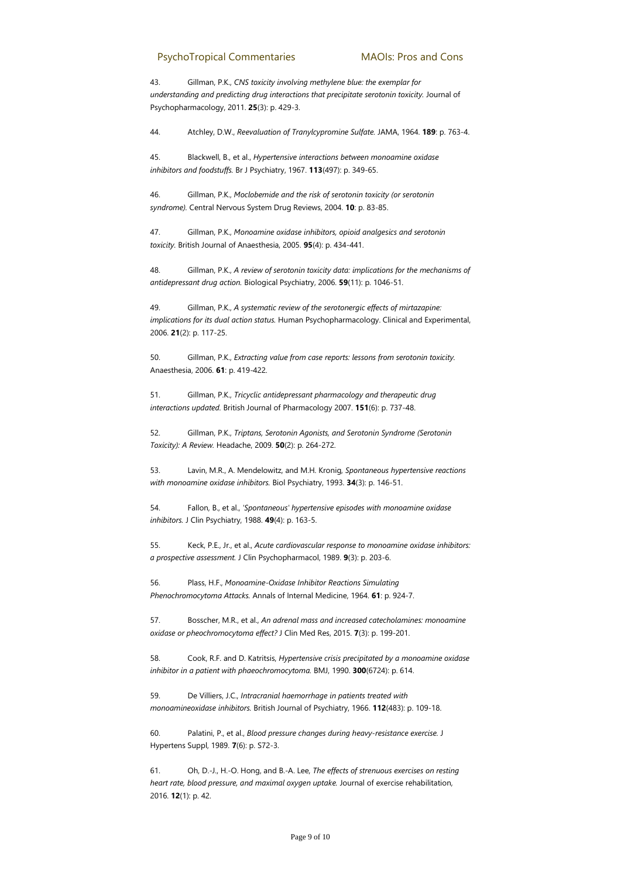43. Gillman, P.K., *CNS toxicity involving methylene blue: the exemplar for understanding and predicting drug interactions that precipitate serotonin toxicity.* Journal of Psychopharmacology, 2011. **25**(3): p. 429-3.

44. Atchley, D.W., *Reevaluation of Tranylcypromine Sulfate.* JAMA, 1964. **189**: p. 763-4.

45. Blackwell, B., et al., *Hypertensive interactions between monoamine oxidase inhibitors and foodstuffs.* Br J Psychiatry, 1967. **113**(497): p. 349-65.

46. Gillman, P.K., *Moclobemide and the risk of serotonin toxicity (or serotonin syndrome).* Central Nervous System Drug Reviews, 2004. **10**: p. 83-85.

47. Gillman, P.K., *Monoamine oxidase inhibitors, opioid analgesics and serotonin toxicity.* British Journal of Anaesthesia, 2005. **95**(4): p. 434-441.

48. Gillman, P.K., *A review of serotonin toxicity data: implications for the mechanisms of antidepressant drug action.* Biological Psychiatry, 2006. **59**(11): p. 1046-51.

49. Gillman, P.K., *A systematic review of the serotonergic effects of mirtazapine: implications for its dual action status.* Human Psychopharmacology. Clinical and Experimental, 2006. **21**(2): p. 117-25.

50. Gillman, P.K., *Extracting value from case reports: lessons from serotonin toxicity.* Anaesthesia, 2006. **61**: p. 419-422.

51. Gillman, P.K., *Tricyclic antidepressant pharmacology and therapeutic drug interactions updated.* British Journal of Pharmacology 2007. **151**(6): p. 737-48.

52. Gillman, P.K., *Triptans, Serotonin Agonists, and Serotonin Syndrome (Serotonin Toxicity): A Review.* Headache, 2009. **50**(2): p. 264-272.

53. Lavin, M.R., A. Mendelowitz, and M.H. Kronig, *Spontaneous hypertensive reactions with monoamine oxidase inhibitors.* Biol Psychiatry, 1993. **34**(3): p. 146-51.

54. Fallon, B., et al., *'Spontaneous' hypertensive episodes with monoamine oxidase inhibitors.* J Clin Psychiatry, 1988. **49**(4): p. 163-5.

55. Keck, P.E., Jr., et al., *Acute cardiovascular response to monoamine oxidase inhibitors: a prospective assessment.* J Clin Psychopharmacol, 1989. **9**(3): p. 203-6.

56. Plass, H.F., *Monoamine-Oxidase Inhibitor Reactions Simulating Phenochromocytoma Attacks.* Annals of Internal Medicine, 1964. **61**: p. 924-7.

57. Bosscher, M.R., et al., *An adrenal mass and increased catecholamines: monoamine oxidase or pheochromocytoma effect?* J Clin Med Res, 2015. **7**(3): p. 199-201.

58. Cook, R.F. and D. Katritsis, *Hypertensive crisis precipitated by a monoamine oxidase inhibitor in a patient with phaeochromocytoma.* BMJ, 1990. **300**(6724): p. 614.

59. De Villiers, J.C., *Intracranial haemorrhage in patients treated with monoamineoxidase inhibitors.* British Journal of Psychiatry, 1966. **112**(483): p. 109-18.

60. Palatini, P., et al., *Blood pressure changes during heavy-resistance exercise.* J Hypertens Suppl, 1989. **7**(6): p. S72-3.

61. Oh, D.-J., H.-O. Hong, and B.-A. Lee, *The effects of strenuous exercises on resting heart rate, blood pressure, and maximal oxygen uptake.* Journal of exercise rehabilitation, 2016. **12**(1): p. 42.